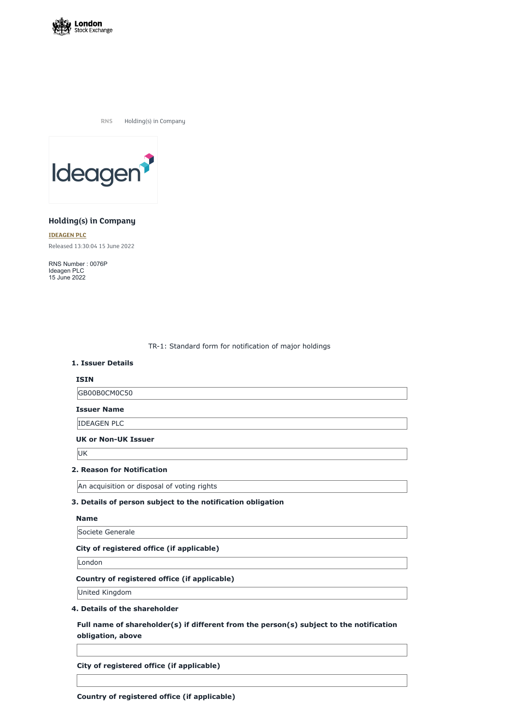

**RNS** Holding(s) in Company



# **Holding(s) in Company**

**[IDEAGEN](https://www.londonstockexchange.com/stock/IDEA/ideagen-plc) PLC** Released 13:30:04 15 June 2022

RNS Number : 0076P Ideagen PLC 15 June 2022

TR-1: Standard form for notification of major holdings

### **1. Issuer Details**

### **ISIN**

GB00B0CM0C50

**Issuer Name**

IDEAGEN PLC

### **UK or Non-UK Issuer**

UK

### **2. Reason for Notification**

An acquisition or disposal of voting rights

### **3. Details of person subject to the notification obligation**

#### **Name**

Societe Generale

#### **City of registered office (if applicable)**

London

### **Country of registered office (if applicable)**

United Kingdom

## **4. Details of the shareholder**

**Full name of shareholder(s) if different from the person(s) subject to the notification obligation, above**

**City of registered office (if applicable)**

**Country of registered office (if applicable)**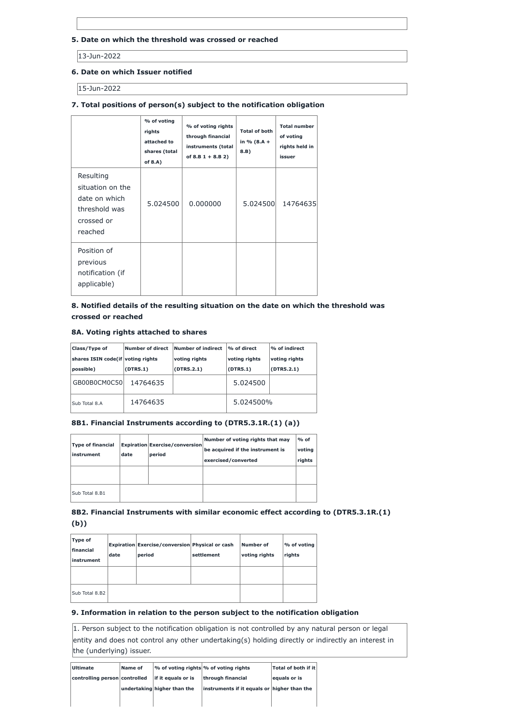## **5. Date on which the threshold was crossed or reached**

13-Jun-2022

## **6. Date on which Issuer notified**

15-Jun-2022

# **7. Total positions of person(s) subject to the notification obligation**

|                                                                                          | % of voting<br>rights<br>attached to<br>shares (total<br>of $8.A$ ) | % of voting rights<br>through financial<br>instruments (total<br>of $8.B 1 + 8.B 2)$ | <b>Total of both</b><br>in % $(8.A +$<br>8.B | <b>Total number</b><br>of voting<br>rights held in<br>issuer |
|------------------------------------------------------------------------------------------|---------------------------------------------------------------------|--------------------------------------------------------------------------------------|----------------------------------------------|--------------------------------------------------------------|
| Resulting<br>situation on the<br>date on which<br>threshold was<br>crossed or<br>reached | 5.024500                                                            | 0.000000                                                                             | 5.024500                                     | 14764635                                                     |
| Position of<br>previous<br>notification (if<br>applicable)                               |                                                                     |                                                                                      |                                              |                                                              |

# **8. Notified details of the resulting situation on the date on which the threshold was crossed or reached**

### **8A. Voting rights attached to shares**

| Class/Type of                     | Number of direct | <b>Number of indirect</b> | % of direct   | % of indirect |
|-----------------------------------|------------------|---------------------------|---------------|---------------|
| shares ISIN code(if voting rights |                  | voting rights             | voting rights | voting rights |
| possible)                         | (DTR5.1)         | (DTR5.2.1)                | (DTR5.1)      | (DTR5.2.1)    |
| GB00B0CM0C50                      | 14764635         |                           | 5.024500      |               |
| Sub Total 8.A                     | 14764635         |                           | 5.024500%     |               |

# **8B1. Financial Instruments according to (DTR5.3.1R.(1) (a))**

| <b>Type of financial</b><br>instrument | date | <b>Expiration Exercise/conversion</b><br>period | Number of voting rights that may<br>be acquired if the instrument is<br>exercised/converted | $%$ of<br>voting<br>rights |
|----------------------------------------|------|-------------------------------------------------|---------------------------------------------------------------------------------------------|----------------------------|
|                                        |      |                                                 |                                                                                             |                            |
| Sub Total 8.B1                         |      |                                                 |                                                                                             |                            |

# **8B2. Financial Instruments with similar economic effect according to (DTR5.3.1R.(1) (b))**

| Type of<br>financial<br>instrument | date | Expiration Exercise/conversion Physical or cash<br>period | settlement | Number of<br>voting rights | % of voting<br>rights |
|------------------------------------|------|-----------------------------------------------------------|------------|----------------------------|-----------------------|
|                                    |      |                                                           |            |                            |                       |
| Sub Total 8.B2                     |      |                                                           |            |                            |                       |

## **9. Information in relation to the person subject to the notification obligation**

1. Person subject to the notification obligation is not controlled by any natural person or legal entity and does not control any other undertaking(s) holding directly or indirectly an interest in the (underlying) issuer.

| <b>Ultimate</b>               | Name of |                             | $\sim$ of voting rights $\%$ of voting rights | $\sf  Total$ of both if it $\sf  $ |
|-------------------------------|---------|-----------------------------|-----------------------------------------------|------------------------------------|
| controlling person controlled |         | lif it equals or is         | through financial                             | equals or is                       |
|                               |         | undertaking higher than the | instruments if it equals or higher than the   |                                    |
|                               |         |                             |                                               |                                    |